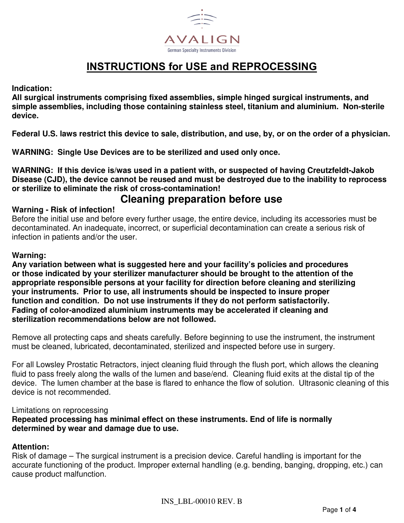

## **INSTRUCTIONS for USE and REPROCESSING**

#### **Indication:**

**All surgical instruments comprising fixed assemblies, simple hinged surgical instruments, and simple assemblies, including those containing stainless steel, titanium and aluminium. Non-sterile device.**

**Federal U.S. laws restrict this device to sale, distribution, and use, by, or on the order of a physician.**

**WARNING: Single Use Devices are to be sterilized and used only once.** 

**WARNING: If this device is/was used in a patient with, or suspected of having Creutzfeldt-Jakob Disease (CJD), the device cannot be reused and must be destroyed due to the inability to reprocess or sterilize to eliminate the risk of cross-contamination!** 

### **Cleaning preparation before use**

#### **Warning - Risk of infection!**

Before the initial use and before every further usage, the entire device, including its accessories must be decontaminated. An inadequate, incorrect, or superficial decontamination can create a serious risk of infection in patients and/or the user.

#### **Warning:**

**Any variation between what is suggested here and your facility's policies and procedures or those indicated by your sterilizer manufacturer should be brought to the attention of the appropriate responsible persons at your facility for direction before cleaning and sterilizing your instruments. Prior to use, all instruments should be inspected to insure proper function and condition. Do not use instruments if they do not perform satisfactorily. Fading of color-anodized aluminium instruments may be accelerated if cleaning and sterilization recommendations below are not followed.** 

Remove all protecting caps and sheats carefully. Before beginning to use the instrument, the instrument must be cleaned, lubricated, decontaminated, sterilized and inspected before use in surgery.

For all Lowsley Prostatic Retractors, inject cleaning fluid through the flush port, which allows the cleaning fluid to pass freely along the walls of the lumen and base/end. Cleaning fluid exits at the distal tip of the device. The lumen chamber at the base is flared to enhance the flow of solution. Ultrasonic cleaning of this device is not recommended.

#### Limitations on reprocessing

**Repeated processing has minimal effect on these instruments. End of life is normally determined by wear and damage due to use.** 

#### **Attention:**

Risk of damage – The surgical instrument is a precision device. Careful handling is important for the accurate functioning of the product. Improper external handling (e.g. bending, banging, dropping, etc.) can cause product malfunction.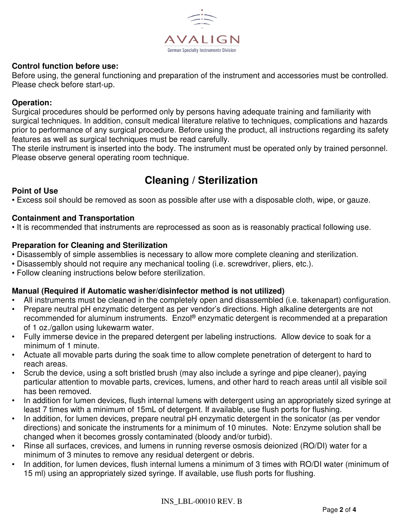

#### **Control function before use:**

Before using, the general functioning and preparation of the instrument and accessories must be controlled. Please check before start-up.

#### **Operation:**

Surgical procedures should be performed only by persons having adequate training and familiarity with surgical techniques. In addition, consult medical literature relative to techniques, complications and hazards prior to performance of any surgical procedure. Before using the product, all instructions regarding its safety features as well as surgical techniques must be read carefully.

The sterile instrument is inserted into the body. The instrument must be operated only by trained personnel. Please observe general operating room technique.

# **Cleaning / Sterilization**

#### **Point of Use**

• Excess soil should be removed as soon as possible after use with a disposable cloth, wipe, or gauze.

#### **Containment and Transportation**

• It is recommended that instruments are reprocessed as soon as is reasonably practical following use.

#### **Preparation for Cleaning and Sterilization**

- Disassembly of simple assemblies is necessary to allow more complete cleaning and sterilization.
- Disassembly should not require any mechanical tooling (i.e. screwdriver, pliers, etc.).
- Follow cleaning instructions below before sterilization.

#### **Manual (Required if Automatic washer/disinfector method is not utilized)**

- All instruments must be cleaned in the completely open and disassembled (i.e. takenapart) configuration.
- Prepare neutral pH enzymatic detergent as per vendor's directions. High alkaline detergents are not recommended for aluminum instruments. Enzol® enzymatic detergent is recommended at a preparation of 1 oz./gallon using lukewarm water.
- Fully immerse device in the prepared detergent per labeling instructions. Allow device to soak for a minimum of 1 minute.
- Actuate all movable parts during the soak time to allow complete penetration of detergent to hard to reach areas.
- Scrub the device, using a soft bristled brush (may also include a syringe and pipe cleaner), paying particular attention to movable parts, crevices, lumens, and other hard to reach areas until all visible soil has been removed.
- In addition for lumen devices, flush internal lumens with detergent using an appropriately sized syringe at least 7 times with a minimum of 15mL of detergent. If available, use flush ports for flushing.
- In addition, for lumen devices, prepare neutral pH enzymatic detergent in the sonicator (as per vendor directions) and sonicate the instruments for a minimum of 10 minutes. Note: Enzyme solution shall be changed when it becomes grossly contaminated (bloody and/or turbid).
- Rinse all surfaces, crevices, and lumens in running reverse osmosis deionized (RO/DI) water for a minimum of 3 minutes to remove any residual detergent or debris.
- In addition, for lumen devices, flush internal lumens a minimum of 3 times with RO/DI water (minimum of 15 ml) using an appropriately sized syringe. If available, use flush ports for flushing.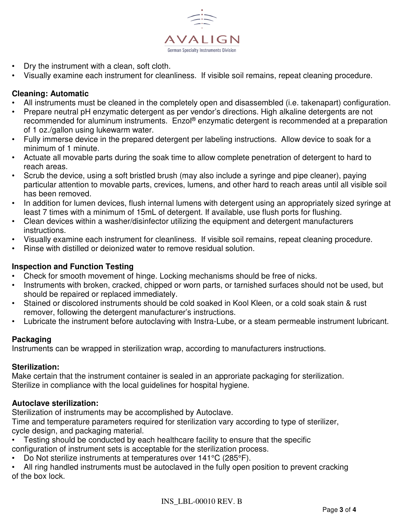

- Dry the instrument with a clean, soft cloth.
- Visually examine each instrument for cleanliness. If visible soil remains, repeat cleaning procedure.

#### **Cleaning: Automatic**

- All instruments must be cleaned in the completely open and disassembled (i.e. takenapart) configuration.
- Prepare neutral pH enzymatic detergent as per vendor's directions. High alkaline detergents are not recommended for aluminum instruments. Enzol<sup>®</sup> enzymatic detergent is recommended at a preparation of 1 oz./gallon using lukewarm water.
- Fully immerse device in the prepared detergent per labeling instructions. Allow device to soak for a minimum of 1 minute.
- Actuate all movable parts during the soak time to allow complete penetration of detergent to hard to reach areas.
- Scrub the device, using a soft bristled brush (may also include a syringe and pipe cleaner), paying particular attention to movable parts, crevices, lumens, and other hard to reach areas until all visible soil has been removed.
- In addition for lumen devices, flush internal lumens with detergent using an appropriately sized syringe at least 7 times with a minimum of 15mL of detergent. If available, use flush ports for flushing.
- Clean devices within a washer/disinfector utilizing the equipment and detergent manufacturers instructions.
- Visually examine each instrument for cleanliness. If visible soil remains, repeat cleaning procedure.
- Rinse with distilled or deionized water to remove residual solution.

### **Inspection and Function Testing**

- Check for smooth movement of hinge. Locking mechanisms should be free of nicks.
- Instruments with broken, cracked, chipped or worn parts, or tarnished surfaces should not be used, but should be repaired or replaced immediately.
- Stained or discolored instruments should be cold soaked in Kool Kleen, or a cold soak stain & rust remover, following the detergent manufacturer's instructions.
- Lubricate the instrument before autoclaving with Instra-Lube, or a steam permeable instrument lubricant.

#### **Packaging**

Instruments can be wrapped in sterilization wrap, according to manufacturers instructions.

#### **Sterilization:**

Make certain that the instrument container is sealed in an approriate packaging for sterilization. Sterilize in compliance with the local guidelines for hospital hygiene.

#### **Autoclave sterilization:**

Sterilization of instruments may be accomplished by Autoclave.

Time and temperature parameters required for sterilization vary according to type of sterilizer, cycle design, and packaging material.

- Testing should be conducted by each healthcare facility to ensure that the specific configuration of instrument sets is acceptable for the sterilization process.
- Do Not sterilize instruments at temperatures over 141°C (285°F).
- All ring handled instruments must be autoclaved in the fully open position to prevent cracking of the box lock.